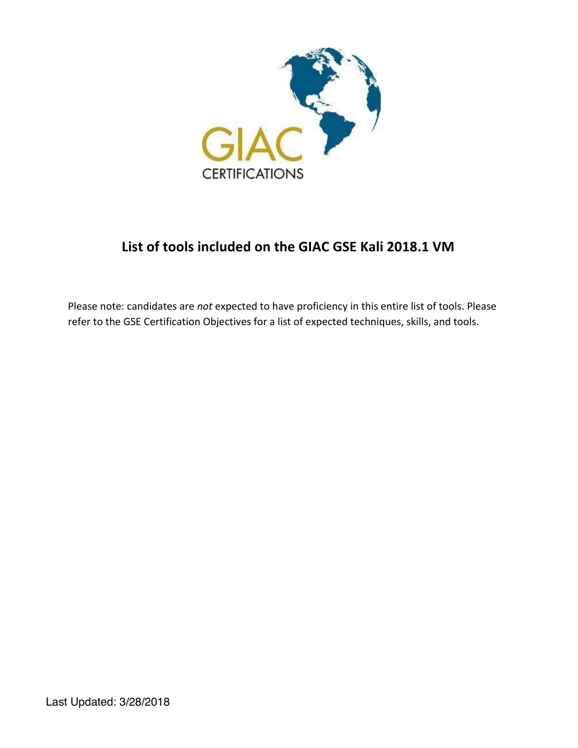

# **List of tools included on the GIAC GSE Kali 2018.1 VM**

Please note: candidates are *not* expected to have proficiency in this entire list of tools. Please refer to the GSE Certification Objectives for a list of expected techniques, skills, and tools.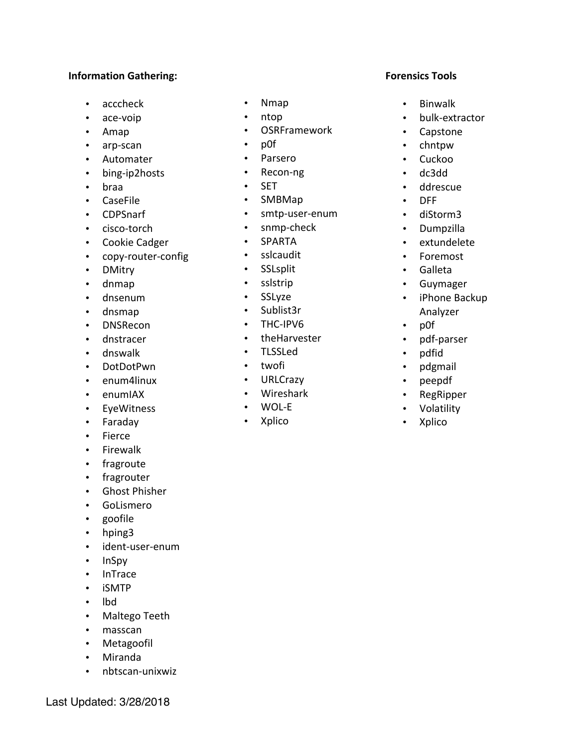#### **Information Gathering:**

- acccheck
- ace-voip
- Amap
- arp-scan
- Automater
- bing-ip2hosts
- braa
- CaseFile
- CDPSnarf
- cisco-torch
- Cookie Cadger
- copy-router-config
- DMitry
- dnmap
- dnsenum
- dnsmap
- DNSRecon
- dnstracer
- dnswalk
- DotDotPwn
- enum4linux
- enumIAX
- EyeWitness
- Faraday
- Fierce
- Firewalk
- fragroute
- fragrouter
- Ghost Phisher
- GoLismero
- goofile
- hping3
- ident-user-enum
- InSpy
- InTrace
- iSMTP
- lbd
- Maltego Teeth
- masscan
- Metagoofil
- Miranda
- nbtscan-unixwiz
- Nmap
- ntop
- OSRFramework
- p0f
- Parsero
- Recon-ng
- SET
- SMBMap
- smtp-user-enum
- snmp-check
- SPARTA
- sslcaudit
- SSLsplit
- sslstrip
- SSLyze
- Sublist3r
- THC-IPV6
- theHarvester
- TLSSLed
- twofi
- URLCrazy
- Wireshark
- WOL-E
- Xplico

#### **Forensics Tools**

- Binwalk
- bulk-extractor
- Capstone
- chntpw
- Cuckoo
- dc3dd
- ddrescue
- DFF
- diStorm3
- Dumpzilla
- extundelete
- Foremost
- Galleta
- Guymager
- iPhone Backup Analyzer
	-
- p0f
- pdf-parser
- pdfid
- pdgmail
- peepdf
- RegRipper
- Volatility
- Xplico
- 
- 
- 
- 
- 
- 
-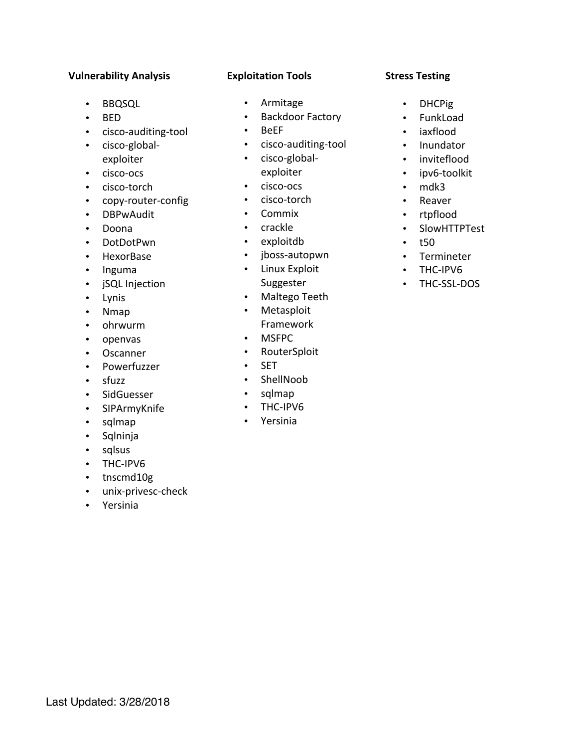## **Vulnerability Analysis**

- BBQSQL
- BED
- cisco-auditing-tool
- cisco-globalexploiter
- cisco-ocs
- cisco-torch
- copy-router-config
- DBPwAudit
- Doona
- DotDotPwn
- HexorBase
- Inguma
- jSQL Injection
- Lynis
- Nmap
- ohrwurm
- openvas
- Oscanner
- Powerfuzzer
- sfuzz
- SidGuesser
- SIPArmyKnife
- sqlmap
- Sqlninja
- sqlsus
- THC-IPV6
- tnscmd10g
- unix-privesc-check
- Yersinia

## **Exploitation Tools**

- Armitage
- Backdoor Factory
- BeEF
- cisco-auditing-tool
- cisco-globalexploiter
- cisco-ocs
- cisco-torch
- Commix
- crackle
- exploitdb
- jboss-autopwn
- Linux Exploit
	- Suggester
- Maltego Teeth
- Metasploit Framework
- MSFPC
- RouterSploit
- SET
- ShellNoob
- sqlmap
- THC-IPV6
- Yersinia

## **Stress Testing**

- DHCPig
- FunkLoad
- iaxflood
- Inundator
- inviteflood
- ipv6-toolkit
- mdk3
- Reaver
- rtpflood
- SlowHTTPTest
- $150$
- Termineter
- THC-IPV6
- THC-SSL-DOS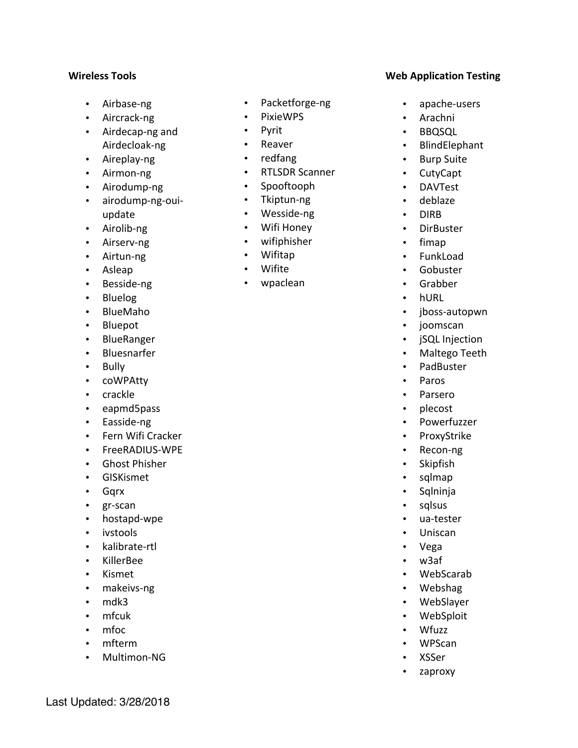#### **Wireless Tools**

- Airbase-ng
- Aircrack-ng
- Airdecap-ng and Airdecloak-ng
- Aireplay-ng
- Airmon-ng
- Airodump-ng
- airodump-ng-ouiupdate
- Airolib-ng
- Airserv-ng
- Airtun-ng
- Asleap
- Besside-ng
- Bluelog
- BlueMaho
- Bluepot
- BlueRanger
- Bluesnarfer
- Bully
- coWPAtty
- crackle
- eapmd5pass
- Easside-ng
- Fern Wifi Cracker
- FreeRADIUS-WPE
- Ghost Phisher
- GISKismet
- Gqrx
- gr-scan
- hostapd-wpe
- ivstools
- kalibrate-rtl
- KillerBee
- Kismet
- makeivs-ng
- mdk3
- mfcuk
- mfoc
- mfterm
- Multimon-NG
- Packetforge-ng
- PixieWPS
- Pyrit
- Reaver
- redfang
- RTLSDR Scanner
- Spooftooph
- Tkiptun-ng
- Wesside-ng
- Wifi Honey
- wifiphisher
- Wifitap
- Wifite
- wpaclean

#### **Web Application Testing**

- apache-users
- Arachni
- BBQSQL
- BlindElephant
- Burp Suite
- CutyCapt
- DAVTest
- deblaze
- DIRB
- DirBuster
- fimap
- FunkLoad
- Gobuster
- Grabber
- hURL
- jboss-autopwn
- joomscan
- jSQL Injection
- Maltego Teeth
- PadBuster
- Paros
- Parsero
- plecost
- Powerfuzzer
- ProxyStrike
- Recon-ng
- Skipfish
- sqlmap
- Sqlninja
- sqlsus
- ua-tester
- Uniscan
- Vega
- w3af
- WebScarab
- Webshag
- WebSlayer
- WebSploit
- Wfuzz
- WPScan
- XSSer
- zaproxy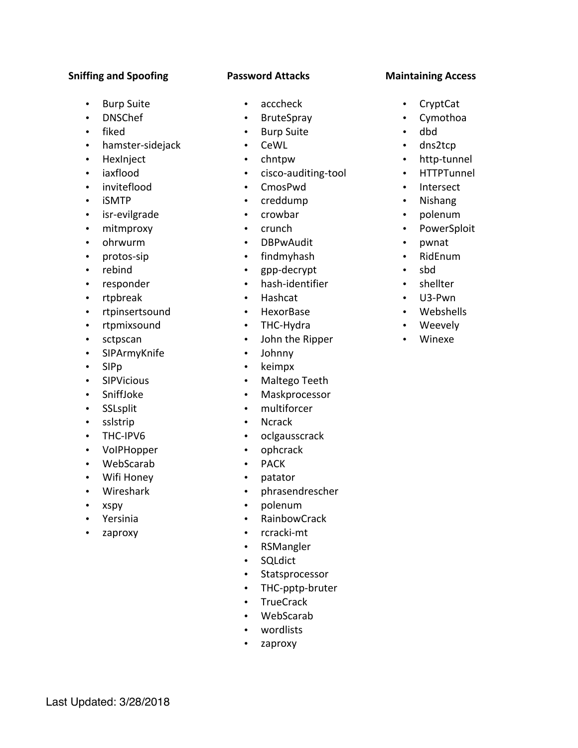## **Sniffing and Spoofing**

- Burp Suite
- DNSChef
- fiked
- hamster-sidejack
- HexInject
- iaxflood
- inviteflood
- iSMTP
- isr-evilgrade
- mitmproxy
- ohrwurm
- protos-sip
- rebind
- responder
- rtpbreak
- rtpinsertsound
- rtpmixsound
- sctpscan
- SIPArmyKnife
- SIPp
- SIPVicious
- SniffJoke
- SSLsplit
- sslstrip
- THC-IPV6
- VoIPHopper
- WebScarab
- Wifi Honey
- Wireshark
- xspy
- Yersinia
- zaproxy

# **Password Attacks**

- acccheck
- BruteSpray
- Burp Suite
- CeWL
- chntpw
- cisco-auditing-tool
- CmosPwd
- creddump
- crowbar
- crunch
- DBPwAudit
- findmyhash
- gpp-decrypt
- hash-identifier
- Hashcat
- HexorBase
- THC-Hydra
- John the Ripper
- Johnny
- keimpx
- Maltego Teeth
- Maskprocessor
- multiforcer
- Ncrack
- oclgausscrack
- ophcrack
- PACK
- patator
- phrasendrescher
- polenum
- RainbowCrack
- rcracki-mt
- RSMangler
- SQLdict
- Statsprocessor
- THC-pptp-bruter
- TrueCrack
- WebScarab
- wordlists
- zaproxy

#### **Maintaining Access**

- CryptCat
- Cymothoa
- dbd
- dns2tcp
- http-tunnel
- HTTPTunnel
- Intersect
- Nishang
- polenum
- PowerSploit
- pwnat
- RidEnum
- sbd
- shellter
- U3-Pwn
- Webshells
- Weevely
- Winexe